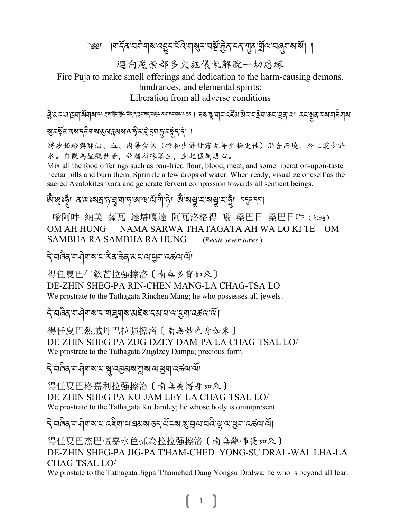৩খ । ।শইৰ ঘণীয়াৰ বহীত বুদ্ৰ প্ৰস্কৃত বৰ্ষ উপুৰ বে এৰ মূৰ্ত বুদ্ৰ প্ৰস্কৃত প্ৰ

迴向魔崇部多火施儀軌解脫一切惡緣

Fire Puja to make smell offerings and dedication to the harm-causing demons, hindrances, and elemental spirits:

Liberation from all adverse conditions

ত্ৰীপ্ৰ শ্ৰমিত্ৰা স্থানীৰ প্ৰায়ন কৰা বিষ্ণা কৰিব কৰা প্ৰায়ন কৰি বিষ্ণা কৰা বিষ্ণা কৰিব পৰি প্ৰায়ন কৰিব কৰিব

য়ৢঢ়য়ৢয়ৼঀয়ৼঀয়য়য়ড়ড়ৼয়য়য়৻৸ৠৼৼৗৼঀড়ড়য়ৼ৻৸ঀ

将炒麵粉與酥油、血、肉等食物(摻和少許甘露丸等聖物更佳)混合而燒,於上灑少許 水。自觀為聖觀世音,於諸所緣眾生,生起猛厲悲心。

Mix all the food offerings such as pan-fried flour, blood, meat, and some liberation-upon-taste nectar pills and burn them. Sprinkle a few drops of water. When ready, visualize oneself as the sacred Avalokiteshvara and generate fervent compassion towards all sentient beings.

ধ্যৈজ্ঞগ্নৃ। ব্যাঃমদ্রাদৃাদ্বাদৃাথা স্বার্থা দীদ্দী ধ্যি মান্ত্রামান্ত্রী ব্যব্দা

嗡阿吽 納美 薩瓦 達塔嘎達 阿瓦洛格得 嗡 桑巴日 桑巴日吽 (セ遍) OM AH HUNG NAMA SARWA THATAGATA AH WA LO KI TE OM SAMBHA RA SAMBHA RA HUNG (Recite seven times)

#### दे′व्रुवेदॱगज़ेयाबाद्यॱदेवॱऊेवॱअदॱअॱखुगॱदर्ऊयॱयेँ।

得任夏巴仁欽芒拉强擦洛〔南無多寶如來〕 DE-ZHIN SHEG-PA RIN-CHEN MANG-LA CHAG-TSA LO We prostrate to the Tathagata Rinchen Mang; he who possesses-all-jewels.

ঽ৾ড়৾ঀয়৽ঀঀয়য়ৼঀয়য়য়য়ৼ৻য়ৼ৻য়ৼ৻৸ৼঀয়ঀ৻ৼ৻৸৻৸

得任夏巴熱賊丹巴拉强擦洛〔南無妙色身如來〕 DE-ZHIN SHEG-PA ZUG-DZEY DAM-PA LA CHAG-TSAL LO/ We prostrate to the Tathagata Zugdzey Dampa; precious form.

ঽ৾ড়িৰ শৰীৰাৰ নিয়ন্ত্ৰসৰ মুৰ নিয়ন্ত্ৰ নিয়ন্ত্ৰ

得任夏巴格嘉利拉强擦洛〔南無廣博身如來〕 DE-ZHIN SHEG-PA KU-JAM LEY-LA CHAG-TSAL LO/ We prostrate to the Tathagata Ku Jamley; he whose body is omnipresent.

ঽ৾ৢয়ড়৶য়ড়ঢ়৸ড়ৼঢ়৻ড়ৼ৸৸ৼঢ়ৼ৸ড়ৼ৸ৼ৸ৼ৸ৼ৸ৼ৸ৼ৻৸ৼঀ৸ৼ৸ৼ৻৸

得任夏巴杰巴檀嘉永色抓為拉拉强擦洛〔南無離怖畏如來〕 DE-ZHIN SHEG-PA JIG-PA T'HAM-CHED YONG-SU DRAL-WAI LHA-LA CHAG-TSAL LO/

We prostate to the Tathagata Jigpa Thamched Dang Yongsu Dralwa; he who is beyond all fear.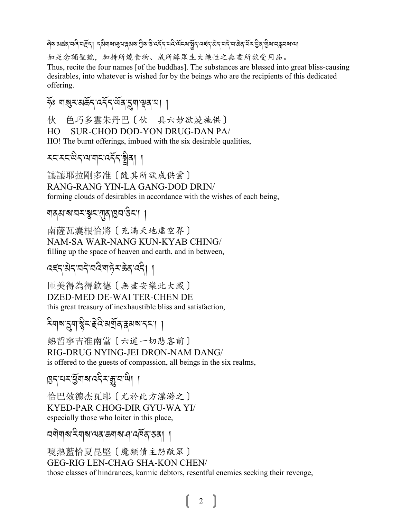बिबासक्षत्रायदि चहूँद। दसैयाबाखुवाद्वसबागुबाउे वर्देदायदि वेंदबाञ्चेदावहंदासेदायदे चाक्रेदारी कार्यकार्या कार्

如是念誦聖號,加持所燒食物、成所緣眾生大樂性之無盡所欲受用品。

Thus, recite the four names [of the buddhas]. The substances are blessed into great bliss-causing desirables, into whatever is wished for by the beings who are the recipients of this dedicated offering.

ইঃ মামুম'মৰ্ক্ৰন'ৰ্ম্নন'ৰ্ম্ম'ন্মুৰ'মা ।

色巧多雲朱丹巴〔伙 具六妙欲燒施供〕 伙 HO SUR-CHOD DOD-YON DRUG-DAN PA/ HO! The burnt offerings, imbued with the six desirable qualities,

**रदारदाखेदायाबादादर्देदाञ्चे**वा ।

讓讓耶拉剛多准〔隨其所欲成供雲〕 RANG-RANG YIN-LA GANG-DOD DRIN/ forming clouds of desirables in accordance with the wishes of each being,

### য়৶৶৶য়ৼয়৸ৼয়৸ঢ়ঢ়৸ড়৸ড়৸

南薩瓦囊根恰將〔充滿天地虛空界〕 NAM-SA WAR-NANG KUN-KYAB CHING/ filling up the space of heaven and earth, and in between,

### दह्दाबेदावदेववेषाहेराऊेदाददे। ।

而美得為得欽德〔無盡安樂此大藏〕 DZED-MED DE-WAI TER-CHEN DE this great treasury of inexhaustible bliss and satisfaction,

## देवाबाद्रवाश्लेदाद्देव अर्जुबाद्रसबादया ।

熱哲寧吉准南當〔六道一切悲客前〕 RIG-DRUG NYING-JEI DRON-NAM DANG/ is offered to the guests of compassion, all beings in the six realms,

$$
\text{exp}(\mathbf{X}^T\mathbf{X}^T\mathbf{X}^T\mathbf{X}^T\mathbf{X}^T\mathbf{X}^T\mathbf{X}^T\mathbf{X}^T\mathbf{X}^T\mathbf{X}^T\mathbf{X}^T\mathbf{X}^T\mathbf{X}^T\mathbf{X}^T\mathbf{X}^T\mathbf{X}^T\mathbf{X}^T\mathbf{X}^T\mathbf{X}^T\mathbf{X}^T\mathbf{X}^T\mathbf{X}^T\mathbf{X}^T\mathbf{X}^T\mathbf{X}^T\mathbf{X}^T\mathbf{X}^T\mathbf{X}^T\mathbf{X}^T\mathbf{X}^T\mathbf{X}^T\mathbf{X}^T\mathbf{X}^T\mathbf{X}^T\mathbf{X}^T\mathbf{X}^T\mathbf{X}^T\mathbf{X}^T\mathbf{X}^T\mathbf{X}^T\mathbf{X}^T\mathbf{X}^T\mathbf{X}^T\mathbf{X}^T\mathbf{X}^T\mathbf{X}^T\mathbf{X}^T\mathbf{X}^T\mathbf{X}^T\mathbf{X}^T\mathbf{X}^T\mathbf{X}^T\mathbf{X}^T\mathbf{X}^T\mathbf{X}^T\mathbf{X}^T\mathbf{X}^T\mathbf{X}^T\mathbf{X}^T\mathbf{X}^T\mathbf{X}^T\mathbf{X}^T\mathbf{X}^T\mathbf{X}^T\mathbf{X}^T\mathbf{X}^T\mathbf{X}^T\mathbf{X}^T\mathbf{X}^T\mathbf{X}^T\mathbf{X}^T\mathbf{X}^T\mathbf{X}^T\mathbf{X}^T\mathbf{X}^T\mathbf{X}^T\mathbf{X}^T\mathbf{X}^T\mathbf{X}^T\mathbf{X}^T\mathbf{X}^T\mathbf{X}^T\mathbf{X}^T\mathbf{X}^T\mathbf{X}^T\mathbf{X}^T\mathbf{X}^T\mathbf{X}^T\mathbf{X}^T\mathbf{X}^T\mathbf{X}^T\mathbf{X}^T\mathbf{X}^T\mathbf{X}^T\mathbf
$$

恰巴效德杰瓦耶 [尤於此方漂游之] KYED-PAR CHOG-DIR GYU-WA YI/ especially those who loiter in this place,

#### অণীণাৰ মিলাৰ স্বাৰাৰ বিদ্ৰুতি পৰি

嘎熱藍恰夏昆堅〔魔類債主怨敵眾〕 **GEG-RIG LEN-CHAG SHA-KON CHEN/** those classes of hindrances, karmic debtors, resentful enemies seeking their revenge,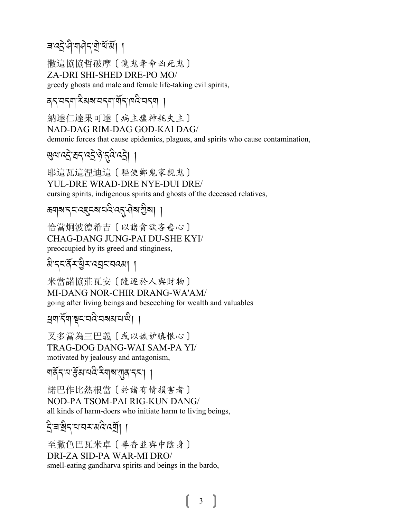### बादर्दे से बाने दाये बॅंब्सें ।

撒這協協哲破摩〔讒鬼奪命凶死鬼〕 ZA-DRI SHI-SHED DRE-PO MO/ greedy ghosts and male and female life-taking evil spirits,

दनवन्यादेसबायनगार्यनाव्ययनया ।

納達仁達果可達〔病主瘟神耗失主〕 NAD-DAG RIM-DAG GOD-KAI DAG/ demonic forces that cause epidemics, plagues, and spirits who cause contamination,

#### **ਘੁ**ਕਾਕੜ੍ਹੇ ਬਨਾਕੜ੍ਹੇ 'ਨ੍ਰੇ ਨਕੇ ਕੜ੍ਹੇ। ।

耶這瓦這涅迪這〔驅使鄉鬼家親鬼〕 YUL-DRE WRAD-DRE NYE-DUI DRE/ cursing spirits, indigenous spirits and ghosts of the deceased relatives,

#### ক্ত্ৰাৰাদ্দৰেদ্দৰাৰ্থৰ্দ্বৰাখীৰা ।

恰當炯波德希吉〔以諸貪欲吝嗇心〕 CHAG-DANG JUNG-PAI DU-SHE KYI/ preoccupied by its greed and stinginess,

अे ददर्दे र धेर प्रदान पदवा ।

米當諾協莊瓦安 〔隨逐於人與財物〕 MI-DANG NOR-CHIR DRANG-WA'AM/ going after living beings and beseeching for wealth and valuables

स्रगार्दे गां सूरावरित्वस्य साथा।

叉多當為三巴義〔或以嫉妒瞋恨心〕 TRAG-DOG DANG-WAI SAM-PA YI/ motivated by jealousy and antagonism,

गर्वेद य र्मुबायदे देवाबाला दरा ।

諾巴作比熱根當 [於諸有情損害者] NOD-PA TSOM-PAI RIG-KUN DANG/ all kinds of harm-doers who initiate harm to living beings,

#### ই'ৰ'ষ্ট্ৰ'ম'নমন্মন্ত্ৰ্যা ।

至撒色巴瓦米卓 [ 尋香並與中陰身] DRI-ZA SID-PA WAR-MI DRO/ smell-eating gandharva spirits and beings in the bardo.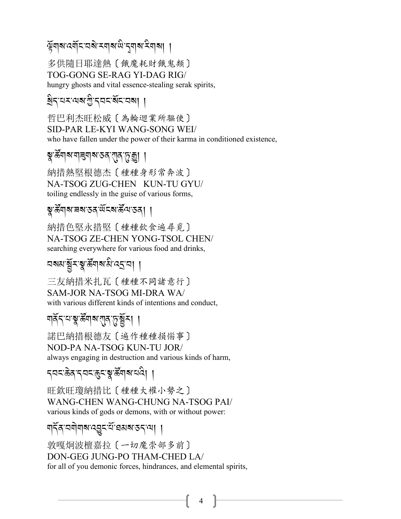#### ্ষুমাৰ নেমুখনৰ স্বাৰ জুৱি প্ৰাৰ্থ কৰা

多供隨日耶達熱〔餓魔耗財餓鬼類〕 TOG-GONG SE-RAG YI-DAG RIG/ hungry ghosts and vital essence-stealing serak spirits,

#### থ্য- নেম্বর মুক্ত বিদ্যালয়।

哲巴利杰旺松威〔為輪迴業所驅使〕 SID-PAR LE-KYI WANG-SONG WEI/ who have fallen under the power of their karma in conditioned existence,

#### ষ্কু'ৰ্ক্তঁশৰশাৰৰ মাজত বাবে'ৰ্চ্ ছা ।

納措熱堅根德杰 [種種身形常奔波] NA-TSOG ZUG-CHEN KUN-TU GYU/ toiling endlessly in the guise of various forms.

#### ৡৢ੶৳য়৸ৼয়৸ৼঀৼ৸ৼ৻ৼ৻ৼ৻ৼ৻৸৸

納措色堅永措堅〔種種飲食遍尋覓〕 NA-TSOG ZE-CHEN YONG-TSOL CHEN/ searching everywhere for various food and drinks,

### নমমায়ুঁ মন্ত্ৰ'ৰ্উনাৰামী হোনা ।

三友納措米扎瓦〔種種不同諸意行〕 SAM-JOR NA-TSOG MI-DRA WA/ with various different kinds of intentions and conduct,

### 

諾巴納措根德友 〔 遍作種種損惱事〕 NOD-PA NA-TSOG KUN-TU JOR/ always engaging in destruction and various kinds of harm,

#### *ॸ*य़ॸॱक़ॆॺॱॸय़ॸॱक़ॗॸॱॺॗॱक़ॕ॔ॺऻॺॱय़ॺऀॎऻ

旺欽旺瓊納措比 [種種大權小勢之] WANG-CHEN WANG-CHUNG NA-TSOG PAI/ various kinds of gods or demons, with or without power:

#### ঘার্ন্ব'নমীমাঝ'ন্ড্রন'র্মা ব্যব্রান্ন। ।

敦嘎炯波檀嘉拉〔一切魔崇部多前〕 DON-GEG JUNG-PO THAM-CHED LA/ for all of you demonic forces, hindrances, and elemental spirits,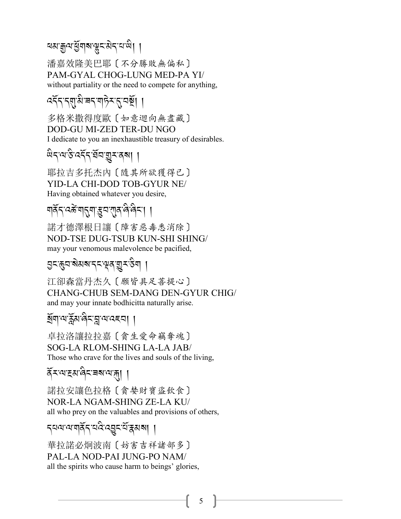#### <u>ৰমাক্কুন মুঁনৰ জীৱন বিভিন্ন</u>

潘嘉效降美巴耶〔不分勝敗無偏私〕 PAM-GYAL CHOG-LUNG MED-PA YI/ without partiality or the need to compete for anything,

### বর্নন্দ্রাম ৰন শচন নেয়া।

多格米撒得度歐 〔如意迴向無盡藏〕 DOD-GU MI-ZED TER-DU NGO I dedicate to you an inexhaustible treasury of desirables.

#### ଜনবেও বর্ত্ত প্রত্রান্ত্র প্রবাণ

耶拉吉多托杰内 [隨其所欲獲得已] YID-LA CHI-DOD TOB-GYUR NE/ Having obtained whatever you desire,

### য়ঽॅॸॱঽౙॱয়ৼয়ৼৼৣয়ৼয়য়৽৻ঀ৾৻ঀৼৗ

諾才德澤根日讓〔障害惡毒悉消除〕 NOD-TSE DUG-TSUB KUN-SHI SHING/ may your venomous malevolence be pacified,

#### 

江卻森當丹杰久〔願皆具足菩提心〕 CHANG-CHUB SEM-DANG DEN-GYUR CHIG/ and may your innate bodhicitta naturally arise.

### ষ্ঠিনা মার্ক্লুমান্ত্রন্দ্রা মান্কের । ।

卓拉洛讓拉拉嘉〔貪生愛命竊奪魂〕 SOG-LA RLOM-SHING LA-LA JAB/ Those who crave for the lives and souls of the living.

#### ৰ্ব≍ন্মক্ৰৱাৰ্বিৰেৰানাৰা ।

諾拉安讓色拉格〔貪婪財寶盜飲食〕 **NOR-LA NGAM-SHING ZE-LA KU/** all who prey on the valuables and provisions of others,

### ব্যঝন্মৰ্মিব্বন্দ্ৰেৰ্ম্মৰ ।।

華拉諾必炯波南〔妨害吉祥諸部多〕 PAL-LA NOD-PALIUNG-PO NAM/ all the spirits who cause harm to beings' glories,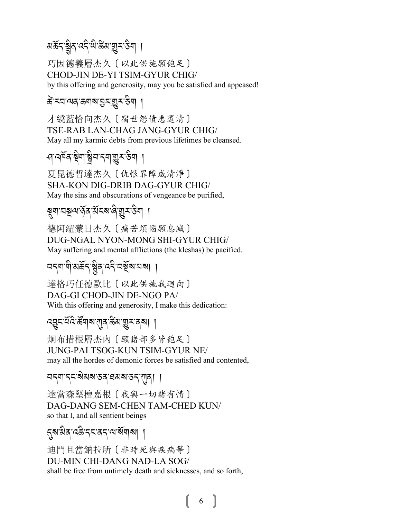#### মৰ্ক্টন ব্ৰইণ্ড স্কুৰ্ম ব্ৰুষ্ট<sup>,</sup> A*\$*,

巧因德義層杰久〔以此供施願飽足〕 CHOD-JIN DE-YI TSIM-GYUR CHIG/ by this offering and generosity, may you be satisfied and appeased!

### *के* रचल्यव क्याब उदखुर ठेय ।

才繞藍恰向杰久〔宿世怨債悉還清〕 TSE-RAB LAN-CHAG JANG-GYUR CHIG/ May all my karmic debts from previous lifetimes be cleansed.

#### *-*<br>প<sup>:বৰ্তুৰ'ষ্ট্ৰশ'ষ্ট্ৰব'ৰ্মশ্মন্তুৰ'উশ ।</sup> .<br>.<br>.

夏昆德哲達杰久〔仇恨罪障咸清淨〕 SHA-KON DIG-DRIB DAG-GYUR CHIG/ May the sins and obscurations of vengeance be purified,

# ষ্ণুশ'ন্সুশ'ৰ্ক্তৰ্'ৰ্ম্মৰ্শ্ব'ৰীৰ |

德阿紐蒙日杰久〔痛苦煩惱願息滅〕 DUG-NGAL NYON-MONG SHI-GYUR CHIG/ May suffering and mental afflictions (the kleshas) be pacified.

# ব<sub>্</sub>মাণ্ডামৰ্স্ক স্থিৰ বেই বৰ্ষ্ট্ৰম্বৰ্য |

達格巧任德歐比〔以此供施我迴向〕 DAG-GI CHOD-JIN DE-NGO PA/ With this offering and generosity, I make this dedication:

### *:*L*%-0*R*:* C*- 5*S *\$ ?-*!*/-5*B *3-*I*<-/?*,,

炯布措根層杰內〔願諸部多皆飽足〕 JUNG-PAI TSOG-KUN TSIM-GYUR NE/ may all the hordes of demonic forces be satisfied and contented,

### মন্মান্ন<sup>:</sup>ইমৰাজ্য স্বৰাজ্য স্বৰী

達當森堅檀嘉根〔我與一切諸有情〕 DAG-DANG SEM-CHEN TAM-CHED KUN/ so that I, and all sentient beings

### .*?-3* A*/-: (* A*-.% -/.-=-?*R*\$?*,,

迪門且當鈉拉所〔非時死與疾病等〕 DU-MIN CHI-DANG NAD-LA SOG/ shall be free from untimely death and sicknesses, and so forth,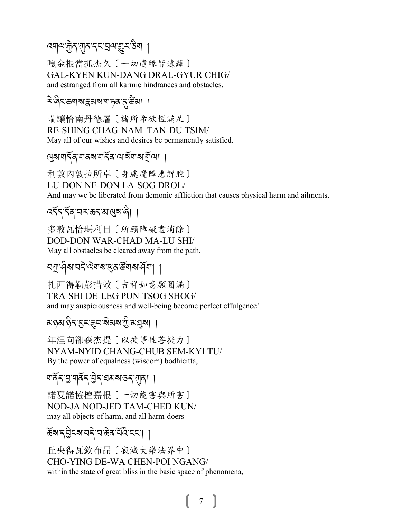### <sup>৻</sup>য়ঀঀ৾ৼয়ৣ৾ঀ<sup>৻</sup>য়ৗ৶৻য়৸৻য়৸৻৸৸৸

嘎金根當抓杰久〔一切違緣皆遠離〕 GAL-KYEN KUN-DANG DRAL-GYUR CHIG/ and estranged from all karmic hindrances and obstacles.

#### दे बिहारू बाबा के बाबा के बाबा कर रहे हैं।

瑞讓恰南丹德層〔諸所希欲恆滿足〕 RE-SHING CHAG-NAM TAN-DU TSIM/ May all of our wishes and desires be permanently satisfied.

#### 

利敦内敦拉所卓〔身處魔障悉解脫〕 LU-DON NE-DON LA-SOG DROL/ And may we be liberated from demonic affliction that causes physical harm and ailments.

### दर्नेन नेंवायर ऊन अखुराले। ।

多敦瓦恰瑪利日〔所願障礙盡消除〕 **DOD-DON WAR-CHAD MA-LU SHI/** May all obstacles be cleared away from the path,

### <u> নশ্ৰু ধীৰাবাৰ প্ৰবাৰী বিদ্যা ।</u>

扎西得勒彭措效〔吉祥如意願圓滿〕 TRA-SHI DE-LEG PUN-TSOG SHOG/ and may auspiciousness and well-being become perfect effulgence!

### মন্তম'ৰ্ন্ত'ব্ৰহ'ৰ্ন্ত্ৰ'ৰ্মৰ'মী'মন্ত্ৰৰা ।

年涅向卻森杰提〔以彼等性菩提力〕 NYAM-NYID CHANG-CHUB SEM-KYI TU/ By the power of equalness (wisdom) bodhicitta,

### শর্কি'ম্ভ'শর্কি'ষ্টন'ঘমৰাজন'য়াৰ। ।

諾夏諾協檀嘉根 〔一切能害與所害〕 NOD-JA NOD-JED TAM-CHED KUN/ may all objects of harm, and all harm-doers

### र्ढेबाद्वेदबावदेखळेवादीदाददा ।

丘央得瓦欽布昂〔寂滅大樂法界中〕 CHO-YING DE-WA CHEN-POI NGANG/ within the state of great bliss in the basic space of phenomena,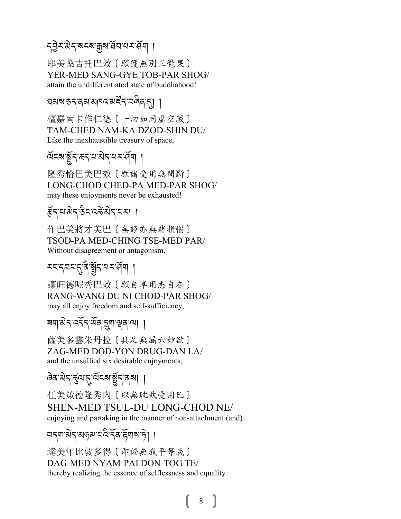### *.L* J*<- 3* J*.-?%?-o?- ,*R*2- 0<->*R*\$*,

耶美桑吉托巴效〔願獲無別正覺果〕 YER-MED SANG-GYE TOB-PAR SHOG/ attain the undifferentiated state of buddhahood!

### প্ৰমৰ্মস্কন্দ্ৰম্যানন্দৰ্মৰ্দ্দি,<sup>,</sup>নন্দ্ৰিন্দ্ৰ, [

檀嘉南卡作仁德〔一切如同虛空藏〕 TAM-CHED NAM-KA DZOD-SHIN DU/ Like the inexhaustible treasury of space,

# ম্লহৰ স্থীন স্পৰ্ট বিভিন্ন সম্পৰ্কী বিভিন্ন সম্পৰ্কী বিভিন্ন সম্পৰ্কী বিভিন্ন সম্পৰ্কী বিভিন্ন সম্পৰ্কী বিভিন্ন<br><sub>প</sub>ৰ্ক সম্পৰ্ক সম্পৰ্ক সম্পৰ্ক সম্পৰ্ক সম্পৰ্ক সম্পৰ্ক সম্পৰ্ক সম্পৰ্ক সম্পৰ্ক সম্পৰ্ক সম্পৰ্ক সম্পৰ্ক সম্পৰ্

隆秀恰巴美巴效〔願諸受用無間斷〕 LONG-CHOD CHED-PA MED-PAR SHOG/ may these enjoyments never be exhausted!

## *प्*रांस्ट्रें अन्यि ।

作巴美將才美巴〔無諍亦無諸損惱〕 TSOD-PA MED-CHING TSE-MED PAR/ Without disagreement or antagonism,

# *<% -.2% -*.*-/* A*-*,R*.-0<->*R*\$*,

讓旺德呢秀巴效〔願自享用悉自在〕 RANG-WANG DU NI CHOD-PAR SHOG/ may all enjoy freedom and self-sufficiency,

### ৰশ<sup>'ৰু</sup>ন্<sup>:</sup>মৰ্<sup>প্ৰ</sup>ৰ্<sup>2</sup>ৰ্<sup>,</sup>প্ৰৰ্<sup>2</sup>ৰ্ |

薩美多雲朱丹拉〔具足無漏六妙欲〕 ZAG-MED DOD-YON DRUG-DAN LA/ and the unsullied six desirable enjoyments,

#### ଜିବ<sup>:</sup>মন্-র্ন্ডুন্মন্মুইন্<sup>,</sup> ব্রমা । .<br>.

任美策德隆秀內〔以無耽執受用巳〕 SHEN-MED TSUL-DU LONG-CHOD NE/ enjoying and partaking in the manner of non-attachment (and)

### ব্বশাৰীব্ৰজ্ঞাব্বইৰ্ক্টশৰাচী |

達美年比敦多得〔即證無我平等義〕 DAG-MED NYAM-PAI DON-TOG TE/ thereby realizing the essence of selflessness and equality.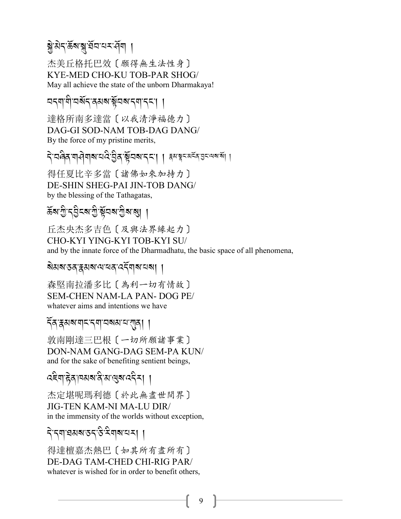### ब्रे.पु.पु.पू.पू.पू.पू.पु.पू.पू.

杰美丘格托巴效〔願得無生法性身〕 KYE-MED CHO-KU TOB-PAR SHOG/ May all achieve the state of the unborn Dharmakaya!

#### ଘব্যাণী অর্থব্রপ্রথম স্থারমাণবিদ। ।

達格所南多達當〔以我清淨福德力〕 DAG-GI SOD-NAM TOB-DAG DANG/ By the force of my pristine merits,

दे वर्षेव यासेयाबाद्यदे पुत्र स्वयंबादया । उत्र स्वयंबर व्यवस्था

得任夏比辛多當〔諸佛如來加持力〕 DE-SHIN SHEG-PAI JIN-TOB DANG/ by the blessing of the Tathagatas,

### হূখ এ এই প্ৰত্যা

丘杰央杰多吉色〔及與法界緣起力〕 CHO-KYI YING-KYI TOB-KYI SU/ and by the innate force of the Dharmadhatu, the basic space of all phenomena,

#### ষমৰাত্তৰ দ্বমৰান্দৰে বেইনাৰানৰা ।

森堅南拉潘多比〔為利一切有情故〕 **SEM-CHEN NAM-LA PAN-DOG PE/** whatever aims and intentions we have

#### ৰ্বি'ক্কমৰাম'ব্যা'নৰমম'ম'বাৰ্। ।

敦南剛達三巴根〔一切所願諸事業〕 DON-NAM GANG-DAG SEM-PA KUN/ and for the sake of benefiting sentient beings,

दद्देवाद्गेदावश्यादी अखुबाददेना ।

杰定堪呢瑪利德 〔於此無盡世間界〕 **JIG-TEN KAM-NI MA-LU DIR/** in the immensity of the worlds without exception,

## दे दगवधबङ्ग उद्देशबायम् ।

得達檀嘉杰熱巴〔如其所有盡所有〕 DE-DAG TAM-CHED CHI-RIG PAR/ whatever is wished for in order to benefit others,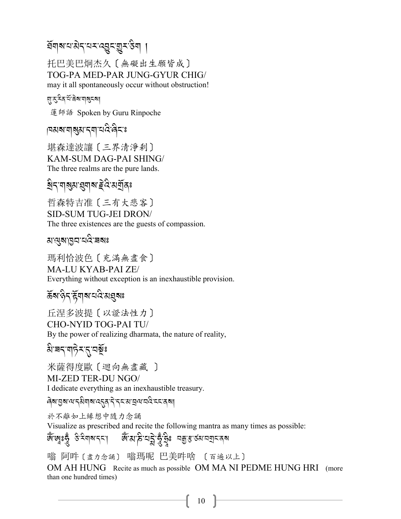#### য়৸৸য়৸ৼ৸ৼ৻ঽৼয়ৗ৸

托巴美巴炯杰久 [ 無礙出生願皆成] TOG-PA MED-PAR JUNG-GYUR CHIG/ may it all spontaneously occur without obstruction!

য়ৼৼঽঽৼয়ড়ৠয়

蓮師語 Spoken by Guru Rinpoche

|¤ঝঝ'যাৰ্থ্ৰ'ব্যা'য়েই'ৰ্বিয়ঃ

堪森達波讓 〔三界清淨刹〕 KAM-SUM DAG-PAI SHING/ The three realms are the pure lands.

য়৸ৼয়য়য়৸ৼয়৸ৼ

哲森特吉准 [三有大悲客] **SID-SUM TUG-JEI DRON/** The three existences are the guests of compassion.

ম'থ্য'ন্তন'ন্ন ৰং

瑪利恰波色〔充滿無盡食〕 **MA-LU KYAB-PAI ZE/** Everything without exception is an inexhaustible provision.

रुँबा देन हेंगबा यदि बानुबाः

丘涅多波提〔以證法性力〕 **CHO-NYID TOG-PAI TU/** By the power of realizing dharmata, the nature of reality,

য়৾৾য়ৼয়ঢ়৾ঽৼ৻ৼঽ৾৾ৣ

米薩得度歐〔迴向無盡藏〕

MI-ZED TER-DU NGO/

I dedicate everything as an inexhaustible treasury.

<u> ดิส ฮูส ผ รุสิตส เวรร ริ ระส ฮูผ สวิรรรสุส</u>

於不離如上緣想中隨力念誦

Visualize as prescribed and recite the following mantra as many times as possible:

জেঁজেঃরুঁ উদিশৰাদ্দা জিঁতাই ঘট্নার্ভুঁইঃ নন্তুত্তারসমান বি

嗡 阿吽 〔 毒 九念誦〕 嗡瑪呢 巴美吽啥 〔 百遍以上〕

OM AH HUNG Recite as much as possible OM MA NI PEDME HUNG HRI (more than one hundred times)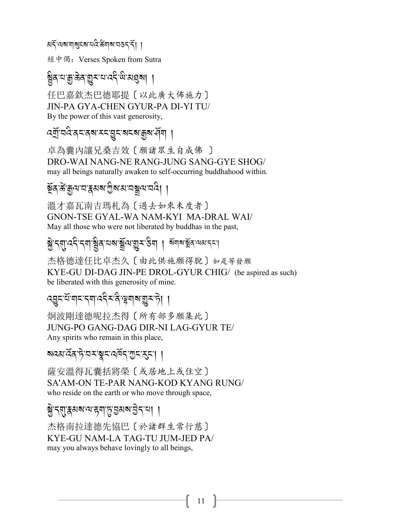ผรัชสตตรรสต์สัตร สรรรับ

經中偈: Verses Spoken from Sutra

ষ্ট্ৰবামাক্ক্ৰান্ত্ৰসম্মৰ্ক্ষা ।

任巴嘉欽杰巴德耶提〔以此廣大佈施力〕 JIN-PA GYA-CHEN GYUR-PA DI-YI TU/ By the power of this vast generosity,

ব্যুনের ব্রব্র হরে আন্নার বিধা

卓為囊內讓兄桑吉效〔願諸眾生自成佛〕 DRO-WAI NANG-NE RANG-JUNG SANG-GYE SHOG/ may all beings naturally awaken to self-occurring buddhahood within.

#### য়ুঁৰ জঁকুন্ম বস্ক্ৰমৰ গ্ৰীৰ মাবন্ধুন বৰ্ষী ।

溫才嘉瓦南吉瑪札為〔過去如來未度者〕 **GNON-TSE GYAL-WA NAM-KYI MA-DRAL WAI/** May all those who were not liberated by buddhas in the past,

<u>ब्रे द्रशुप्ददे दया च्</u>रेड चब्राञ्चे ज्ञान देवा । बंगबाञ्चे व जयानदा

杰格德達任比卓杰久〔由此供施願得脫〕如是等發願 KYE-GU DI-DAG JIN-PE DROL-GYUR CHIG/ (be aspired as such) be liberated with this generosity of mine.

### द्युदःसॅ यादादयाददेद दे भ्रूयाबा<u>श</u>ुदाते। ।

炯波剛達德呢拉杰得〔所有部多願集此〕 JUNG-PO GANG-DAG DIR-NI LAG-GYUR TE/ Any spirits who remain in this place,

### बद्धार्देव हे वर ब्रुवार्यवेन गुरारुका

薩安溫得瓦囊括將榮〔或居地上或住空〕 SA'AM-ON TE-PAR NANG-KOD KYANG RUNG/ who reside on the earth or who move through space,

#### ब्रेन्सुद्धियाय हुवा कुछुराया ।

杰格南拉達德先協巴〔於諸群生常行慈〕 KYE-GU NAM-LA TAG-TU JUM-JED PA/ may you always behave lovingly to all beings,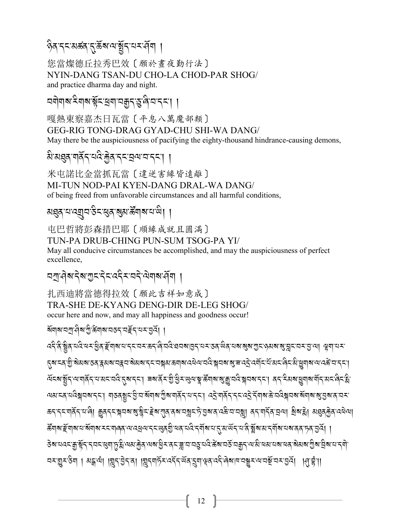### ৡঀৼ৴ৼয়ৼৄঀ৴ঀৣৼৄৼৄৼ৻৸৻৸য়ৢ৻ৼ৻৸৸

您當燦德丘拉秀巴效〔願於書夜勤行法〕 NYIN-DANG TSAN-DU CHO-LA CHOD-PAR SHOG/ and practice dharma day and night.

অণীৰাৰ হিৰাৰ স্কুঁহাস্ত্ৰৰা অক্কুৰ স্কুৰী বাৰ্তনা ।

嘎熱東察嘉杰日瓦當〔平息八萬魔部類〕 **GEG-RIG TONG-DRAG GYAD-CHU SHI-WA DANG/** May there be the auspiciousness of pacifying the eighty-thousand hindrance-causing demons,

#### अध्यश्चत्रपदिकुत्रदय्ययादया ।

米屯諾比金當抓瓦當 〔 違逆害緣皆遠離〕 MI-TUN NOD-PAI KYEN-DANG DRAL-WA DANG/ of being freed from unfavorable circumstances and all harmful conditions,

#### য়ৠ৶য়৸ড়য়ৗৼ৻ড়৸ড়ঀৼ৻ড়৸ড়ৢ৸৻৸৸

屯巴哲將彭森措巴耶〔順緣成就且圓滿〕 TUN-PA DRUB-CHING PUN-SUM TSOG-PA YI/ May all conducive circumstances be accomplished, and may the auspiciousness of perfect excellence.

### নশ্ৰুণৰ বিশ্ৰুত বিত্তন কৰি বিভাগ প্ৰা

扎西油將當德得拉效「願此吉祥如意成〕 TRA-SHE DE-KYANG DENG-DIR DE-LEG SHOG/ occur here and now, and may all happiness and goodness occur!

য়য়৸য়য়ঀৗৢ৸ড়য়য়৻ড়৸ৼঢ়ৼঢ়ড়ৼঢ়ড়৻৸

*へ*ลิริสิสฺ दादे बराष्ठेत् द्विषाबादाद्दावराऊदाले वदे बयबाह्यदायराऊदालेला बाबाबादाद्वादावरात्रात्रात्रा बुषादारा ॸॣॺॱॸढ़ॱॹॖऀॱॺॆॺॺॱऊॺॱॹॷ*ॴॺॱ*य़ॷॺॺॱॸड़ॱय़ॺॣॺॱक़ॺॺॱय़ऄॺॱय़ऄॱॺॣॼॺॱॶॱॼॱढ़ड़ॆॱढ़ॺॕॸॱय़ऀॱख़ॱऄॱख़ॗॺऻॺॱॺॱढ़क़ॕॱय़ॱॸड़ॱॎ ઌॅदबाङ्गॅन भाषार्वेन यासदावदे तुबानदा। बबार्वे राष्ट्री ह्रैदाखलाञ्च सेंगबाबाज्ञातदान अनि देवाबाह्ययाबार्वेन स অম'ম্ব'যবিষ্ণাব্দ'। শতন্ত্ৰ্য'ণ্ড্ৰ'য'ৰ্মশ্ৰাৰ'শ্ৰীৰ'শৰ্মি'ম'দ্দ'। ব্ৰে'শৰ্মি'দ্দ'ব্ৰে'ৰ্দ্মশ্ৰাজ'যৰিষ্ণাৰাজ্য'ৰ সম ক্বাব্দাষ্ট্ৰামাণী ক্ৰুব্বমন্ধ্ৰমৰাস্ত্ৰীমইৰায়্ৰমানস্ত্ৰামন্ত্ৰীসকলে অস্তিত্বাস্থ্য ৰিমানী মহাৰাজীৰ বেলিয়া

ङ्गिषाङ्केषाषायाञ्चलाषाययालवालाख्यलयादयुष्णदयालुखेलयादीर्याषायादीराज्ञालुखेखाश्रादे <u>व</u>िषायाद्यालवान्ने <u>वित्रा</u> <del>ऄ</del>ॺॱय़ढ़ड़ॹॗॱॺॣॕॸॱॸॣॺड़ख़ग़फ़ॗॹऀॱॺॺॱक़ॗॆढ़ॱॺॺॱॺॗऀॾॱढ़ड़ॾॣॱय़ॱय़ॷय़ढ़ऀॱढ़ॕॺॱय़ॶॕॱय़क़ॗॸॱॺॱऄॱॺॺॱय़ॺॱॺढ़ॱॺॆॺॺॱग़ॗऀॺॱय़ऀ॒ॺॱय़ॱॸॺॏॱ <u> নম্ভূ</u>ুমস্তিন । মন্ধুন্দ্ৰ। |মুন্'ট্টন্'ৰ। |মুন্নাৰ্ট্ম'ন্ইন্'ৰ্উৰ'ব্ৰাঞ্ছ'ন্বই'ৰিৰাম'নক্সম'ন্ম'মুৰ্ম'ৰ 'ৰা'ই'।।